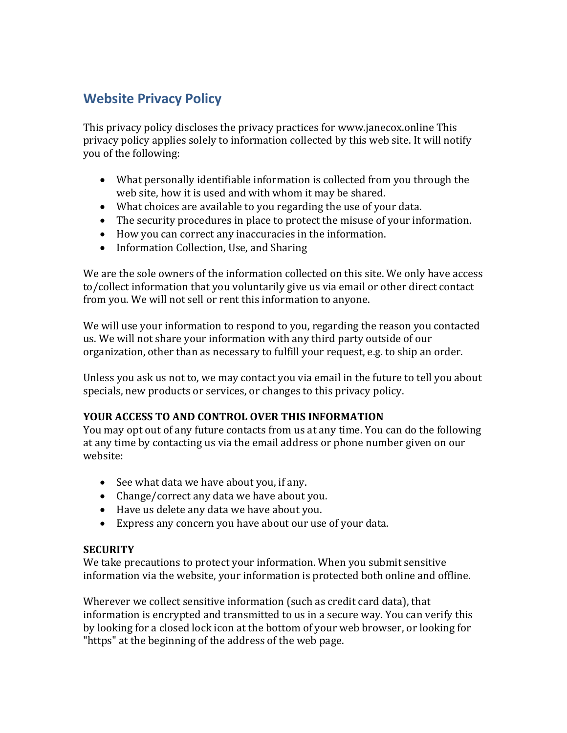## **Website Privacy Policy**

This privacy policy discloses the privacy practices for www.janecox.online This privacy policy applies solely to information collected by this web site. It will notify you of the following:

- What personally identifiable information is collected from you through the web site, how it is used and with whom it may be shared.
- What choices are available to you regarding the use of your data.
- The security procedures in place to protect the misuse of your information.
- How you can correct any inaccuracies in the information.
- Information Collection, Use, and Sharing

We are the sole owners of the information collected on this site. We only have access to/collect information that you voluntarily give us via email or other direct contact from you. We will not sell or rent this information to anyone.

We will use your information to respond to you, regarding the reason you contacted us. We will not share your information with any third party outside of our organization, other than as necessary to fulfill your request, e.g. to ship an order.

Unless you ask us not to, we may contact you via email in the future to tell you about specials, new products or services, or changes to this privacy policy.

## **YOUR ACCESS TO AND CONTROL OVER THIS INFORMATION**

You may opt out of any future contacts from us at any time. You can do the following at any time by contacting us via the email address or phone number given on our website:

- See what data we have about you, if any.
- Change/correct any data we have about you.
- Have us delete any data we have about you.
- Express any concern you have about our use of your data.

## **SECURITY**

We take precautions to protect your information. When you submit sensitive information via the website, your information is protected both online and offline.

Wherever we collect sensitive information (such as credit card data), that information is encrypted and transmitted to us in a secure way. You can verify this by looking for a closed lock icon at the bottom of your web browser, or looking for "https" at the beginning of the address of the web page.